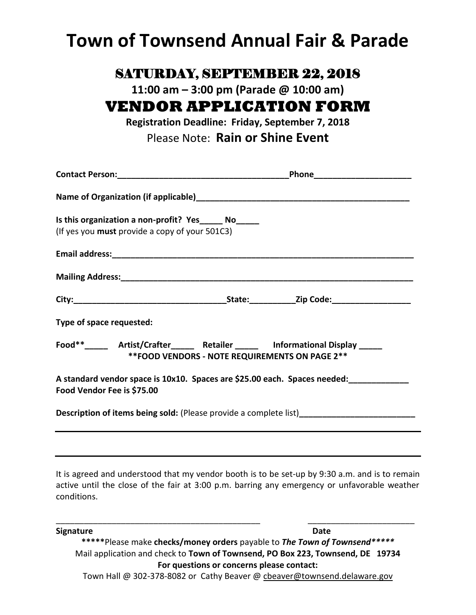# **Town of Townsend Annual Fair & Parade**

### SATURDAY, SEPTEMBER 22, 2018

**11:00 am – 3:00 pm (Parade @ 10:00 am)**

## **VENDOR APPLICATION FORM**

**Registration Deadline: Friday, September 7, 2018** Please Note: **Rain or Shine Event**

| Is this organization a non-profit? Yes______ No_____<br>(If yes you must provide a copy of your 501C3)                             |  |  |
|------------------------------------------------------------------------------------------------------------------------------------|--|--|
|                                                                                                                                    |  |  |
| Mailing Address: Management of the Mailing Address: Mailing Address:                                                               |  |  |
|                                                                                                                                    |  |  |
| Type of space requested:                                                                                                           |  |  |
| Food**_______ Artist/Crafter______ Retailer ______ Informational Display ______<br>** FOOD VENDORS - NOTE REQUIREMENTS ON PAGE 2** |  |  |
| Food Vendor Fee is \$75.00                                                                                                         |  |  |
| Description of items being sold: (Please provide a complete list)______________________                                            |  |  |
|                                                                                                                                    |  |  |

It is agreed and understood that my vendor booth is to be set-up by 9:30 a.m. and is to remain active until the close of the fair at 3:00 p.m. barring any emergency or unfavorable weather conditions.

\_\_\_\_\_\_\_\_\_\_\_\_\_\_\_\_\_\_\_\_\_\_\_\_\_\_\_\_\_\_\_\_\_\_\_\_\_\_\_\_\_\_\_\_ \_\_\_\_\_\_\_\_\_\_\_\_\_\_\_\_\_\_\_\_\_\_\_

**Signature Date \*\*\*\*\***Please make **checks/money orders** payable to *The Town of Townsend\*\*\*\*\** Mail application and check to **Town of Townsend, PO Box 223, Townsend, DE 19734 For questions or concerns please contact:** Town Hall @ 302-378-8082 or Cathy Beaver [@ cbeaver@townsend.delaware.gov](mailto:cbeaver@townsend.delaware.gov)